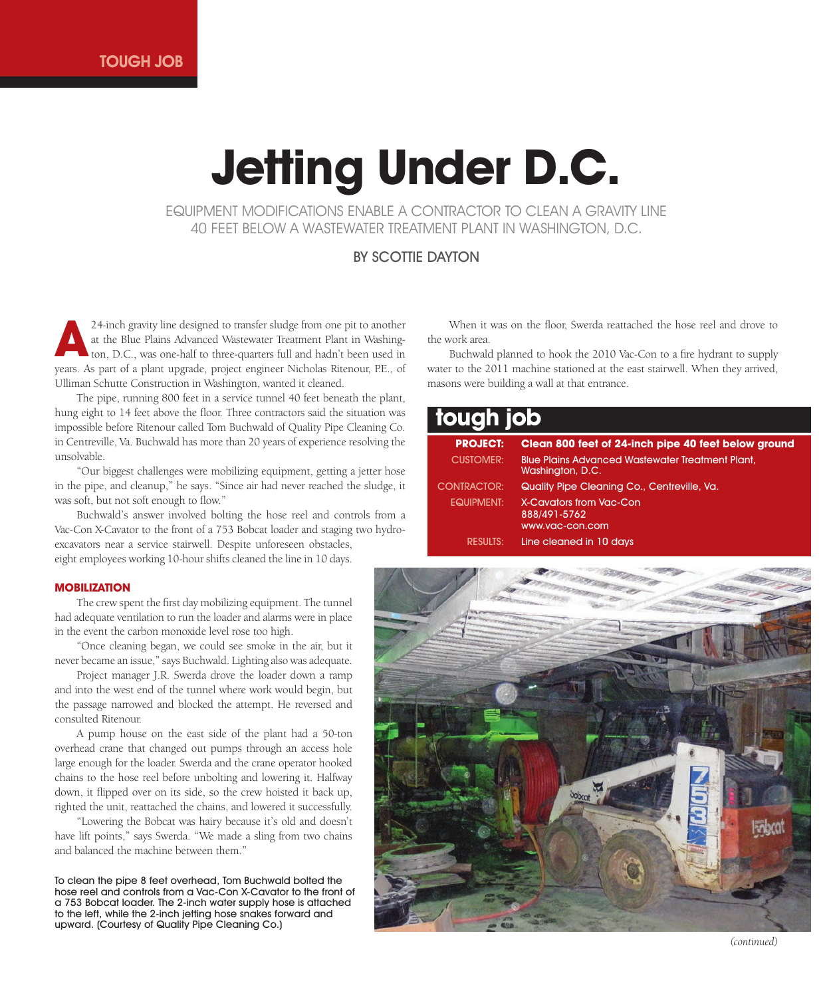# **Jetting Under D.C.**

EQUIPMENT MODIFICATIONS ENABLE A CONTRACTOR TO CLEAN A GRAVITY LINE 40 FEET BELOW A WASTEWATER TREATMENT PLANT IN WASHINGTON, D.C.

## BY SCOTTIE DAYTON

24-inch gravity line designed to transfer sludge from one pit to another at the Blue Plains Advanced Wastewater Treatment Plant in Washington, D.C., was one-half to three-quarters full and hadn't been used in years. As part of a plant upgrade, project engineer Nicholas Ritenour, P.E., of Ulliman Schutte Construction in Washington, wanted it cleaned. **A**

The pipe, running 800 feet in a service tunnel 40 feet beneath the plant, hung eight to 14 feet above the floor. Three contractors said the situation was impossible before Ritenour called Tom Buchwald of Quality Pipe Cleaning Co. in Centreville, Va. Buchwald has more than 20 years of experience resolving the unsolvable.

"Our biggest challenges were mobilizing equipment, getting a jetter hose in the pipe, and cleanup," he says. "Since air had never reached the sludge, it was soft, but not soft enough to flow."

Buchwald's answer involved bolting the hose reel and controls from a Vac-Con X-Cavator to the front of a 753 Bobcat loader and staging two hydroexcavators near a service stairwell. Despite unforeseen obstacles, eight employees working 10-hour shifts cleaned the line in 10 days.

## **MOBILIZATION**

The crew spent the first day mobilizing equipment. The tunnel had adequate ventilation to run the loader and alarms were in place in the event the carbon monoxide level rose too high.

"Once cleaning began, we could see smoke in the air, but it never became an issue," says Buchwald. Lighting also was adequate.

Project manager J.R. Swerda drove the loader down a ramp and into the west end of the tunnel where work would begin, but the passage narrowed and blocked the attempt. He reversed and consulted Ritenour.

A pump house on the east side of the plant had a 50-ton overhead crane that changed out pumps through an access hole large enough for the loader. Swerda and the crane operator hooked chains to the hose reel before unbolting and lowering it. Halfway down, it flipped over on its side, so the crew hoisted it back up, righted the unit, reattached the chains, and lowered it successfully.

"Lowering the Bobcat was hairy because it's old and doesn't have lift points," says Swerda. "We made a sling from two chains and balanced the machine between them."

To clean the pipe 8 feet overhead, Tom Buchwald bolted the hose reel and controls from a Vac-Con X-Cavator to the front of a 753 Bobcat loader. The 2-inch water supply hose is attached to the left, while the 2-inch jetting hose snakes forward and upward. (Courtesy of Quality Pipe Cleaning Co.)

When it was on the floor, Swerda reattached the hose reel and drove to the work area.

Buchwald planned to hook the 2010 Vac-Con to a fire hydrant to supply water to the 2011 machine stationed at the east stairwell. When they arrived, masons were building a wall at that entrance.

## **tough job**

| <b>PROJECT:</b>    | Clean 800 feet of 24-inch pipe 40 feet below ground                         |
|--------------------|-----------------------------------------------------------------------------|
| <b>CUSTOMER:</b>   | <b>Blue Plains Advanced Wastewater Treatment Plant,</b><br>Washington, D.C. |
| <b>CONTRACTOR:</b> | Quality Pipe Cleaning Co., Centreville, Va.                                 |
| EQUIPMENT:         | X-Cavators from Vac-Con<br>888/491-5762<br>www.vac-con.com                  |
| results:           | Line cleaned in 10 days                                                     |



*(continued)*